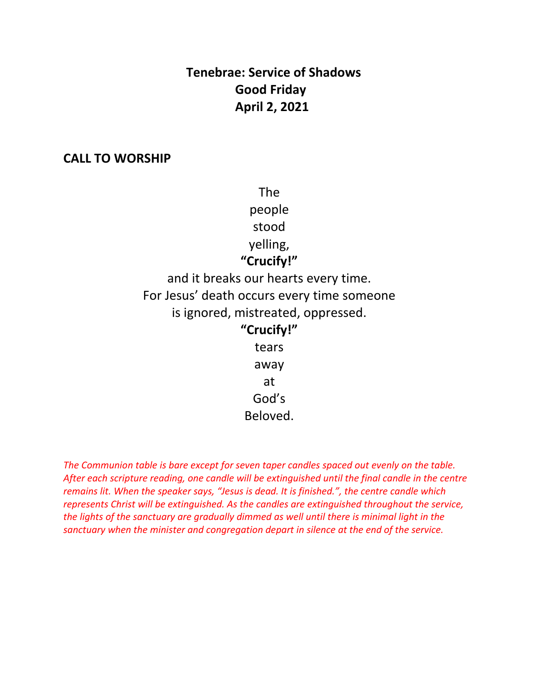## **Tenebrae: Service of Shadows Good Friday April 2, 2021**

#### **CALL TO WORSHIP**

The people stood yelling, **"Crucify!"**  and it breaks our hearts every time. For Jesus' death occurs every time someone is ignored, mistreated, oppressed. **"Crucify!"**  tears away at God's Beloved.

*The Communion table is bare except for seven taper candles spaced out evenly on the table. After each scripture reading, one candle will be extinguished until the final candle in the centre remains lit. When the speaker says, "Jesus is dead. It is finished.", the centre candle which represents Christ will be extinguished. As the candles are extinguished throughout the service, the lights of the sanctuary are gradually dimmed as well until there is minimal light in the sanctuary when the minister and congregation depart in silence at the end of the service.*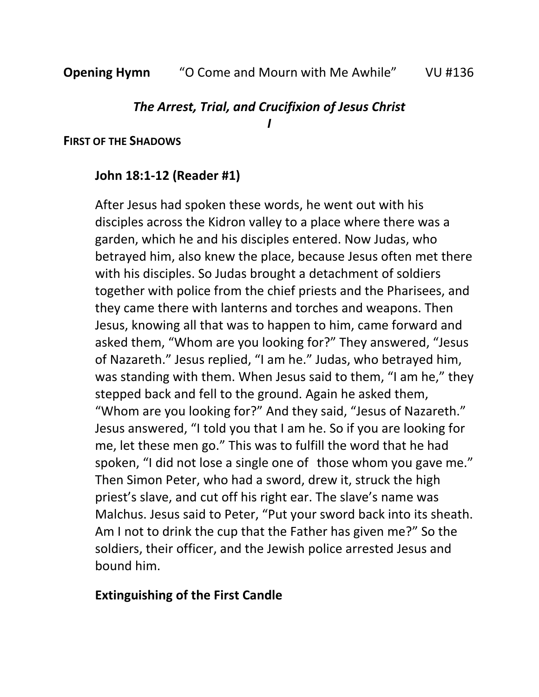## *The Arrest, Trial, and Crucifixion of Jesus Christ*

*I* 

**FIRST OF THE SHADOWS**

## **John 18:1-12 (Reader #1)**

After Jesus had spoken these words, he went out with his disciples across the Kidron valley to a place where there was a garden, which he and his disciples entered. Now Judas, who betrayed him, also knew the place, because Jesus often met there with his disciples. So Judas brought a detachment of soldiers together with police from the chief priests and the Pharisees, and they came there with lanterns and torches and weapons. Then Jesus, knowing all that was to happen to him, came forward and asked them, "Whom are you looking for?" They answered, "Jesus of Nazareth." Jesus replied, "I am he." Judas, who betrayed him, was standing with them. When Jesus said to them, "I am he," they stepped back and fell to the ground. Again he asked them, "Whom are you looking for?" And they said, "Jesus of Nazareth." Jesus answered, "I told you that I am he. So if you are looking for me, let these men go." This was to fulfill the word that he had spoken, "I did not lose a single one of those whom you gave me." Then Simon Peter, who had a sword, drew it, struck the high priest's slave, and cut off his right ear. The slave's name was Malchus. Jesus said to Peter, "Put your sword back into its sheath. Am I not to drink the cup that the Father has given me?" So the soldiers, their officer, and the Jewish police arrested Jesus and bound him.

## **Extinguishing of the First Candle**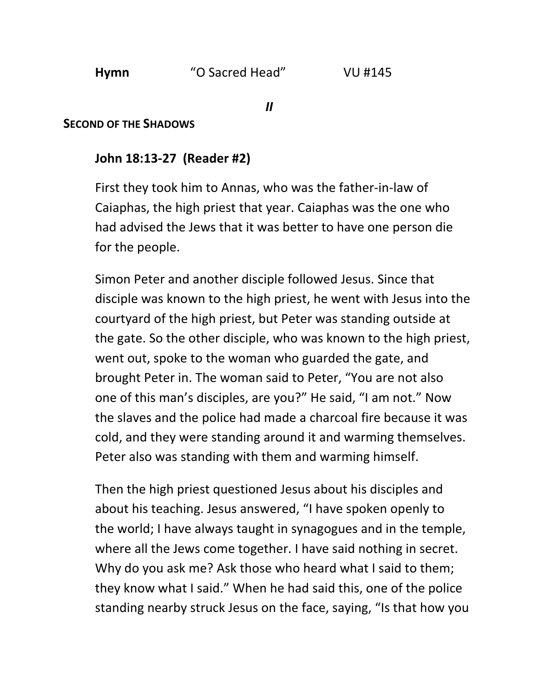**Hymn** "O Sacred Head" VU #145

*II* 

#### **SECOND OF THE SHADOWS**

## **John 18:13-27 (Reader #2)**

First they took him to Annas, who was the father-in-law of Caiaphas, the high priest that year. Caiaphas was the one who had advised the Jews that it was better to have one person die for the people.

Simon Peter and another disciple followed Jesus. Since that disciple was known to the high priest, he went with Jesus into the courtyard of the high priest, but Peter was standing outside at the gate. So the other disciple, who was known to the high priest, went out, spoke to the woman who guarded the gate, and brought Peter in. The woman said to Peter, "You are not also one of this man's disciples, are you?" He said, "I am not." Now the slaves and the police had made a charcoal fire because it was cold, and they were standing around it and warming themselves. Peter also was standing with them and warming himself.

Then the high priest questioned Jesus about his disciples and about his teaching. Jesus answered, "I have spoken openly to the world; I have always taught in synagogues and in the temple, where all the Jews come together. I have said nothing in secret. Why do you ask me? Ask those who heard what I said to them; they know what I said." When he had said this, one of the police standing nearby struck Jesus on the face, saying, "Is that how you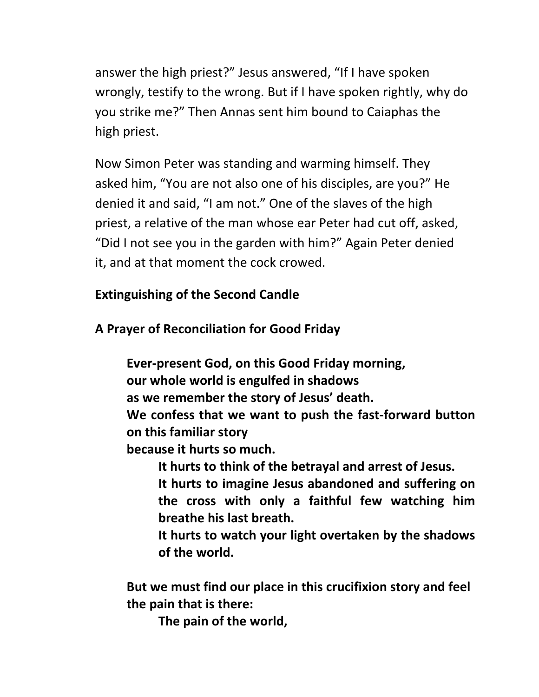answer the high priest?" Jesus answered, "If I have spoken wrongly, testify to the wrong. But if I have spoken rightly, why do you strike me?" Then Annas sent him bound to Caiaphas the high priest.

Now Simon Peter was standing and warming himself. They asked him, "You are not also one of his disciples, are you?" He denied it and said, "I am not." One of the slaves of the high priest, a relative of the man whose ear Peter had cut off, asked, "Did I not see you in the garden with him?" Again Peter denied it, and at that moment the cock crowed.

# **Extinguishing of the Second Candle**

**A Prayer of Reconciliation for Good Friday** 

**Ever-present God, on this Good Friday morning,** 

**our whole world is engulfed in shadows** 

**as we remember the story of Jesus' death.** 

**We confess that we want to push the fast-forward button on this familiar story** 

**because it hurts so much.** 

**It hurts to think of the betrayal and arrest of Jesus.** 

**It hurts to imagine Jesus abandoned and suffering on the cross with only a faithful few watching him breathe his last breath.** 

**It hurts to watch your light overtaken by the shadows of the world.** 

 **But we must find our place in this crucifixion story and feel the pain that is there:** 

**The pain of the world,**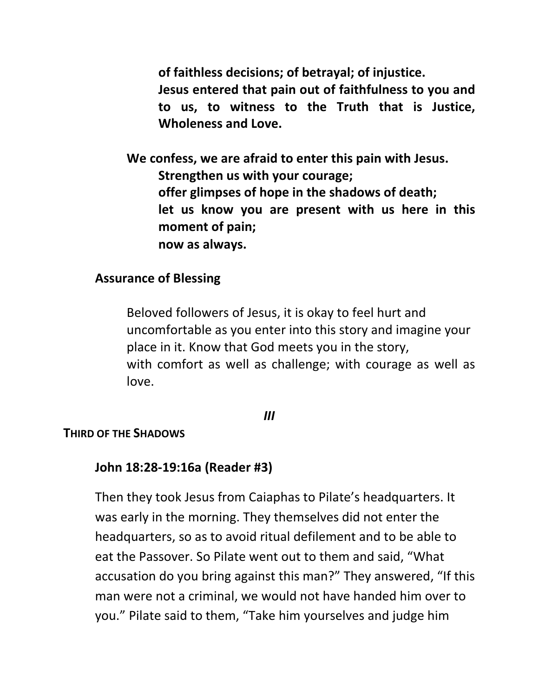**of faithless decisions; of betrayal; of injustice. Jesus entered that pain out of faithfulness to you and to us, to witness to the Truth that is Justice, Wholeness and Love.** 

**We confess, we are afraid to enter this pain with Jesus. Strengthen us with your courage; offer glimpses of hope in the shadows of death; let us know you are present with us here in this moment of pain; now as always.**

## **Assurance of Blessing**

Beloved followers of Jesus, it is okay to feel hurt and uncomfortable as you enter into this story and imagine your place in it. Know that God meets you in the story, with comfort as well as challenge; with courage as well as love.

#### *III*

#### **THIRD OF THE SHADOWS**

### **John 18:28-19:16a (Reader #3)**

Then they took Jesus from Caiaphas to Pilate's headquarters. It was early in the morning. They themselves did not enter the headquarters, so as to avoid ritual defilement and to be able to eat the Passover. So Pilate went out to them and said, "What accusation do you bring against this man?" They answered, "If this man were not a criminal, we would not have handed him over to you." Pilate said to them, "Take him yourselves and judge him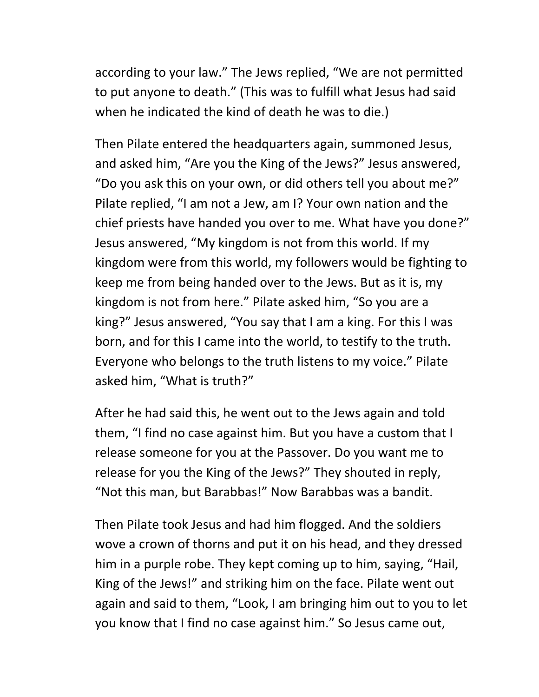according to your law." The Jews replied, "We are not permitted to put anyone to death." (This was to fulfill what Jesus had said when he indicated the kind of death he was to die.)

Then Pilate entered the headquarters again, summoned Jesus, and asked him, "Are you the King of the Jews?" Jesus answered, "Do you ask this on your own, or did others tell you about me?" Pilate replied, "I am not a Jew, am I? Your own nation and the chief priests have handed you over to me. What have you done?" Jesus answered, "My kingdom is not from this world. If my kingdom were from this world, my followers would be fighting to keep me from being handed over to the Jews. But as it is, my kingdom is not from here." Pilate asked him, "So you are a king?" Jesus answered, "You say that I am a king. For this I was born, and for this I came into the world, to testify to the truth. Everyone who belongs to the truth listens to my voice." Pilate asked him, "What is truth?"

 After he had said this, he went out to the Jews again and told them, "I find no case against him. But you have a custom that I release someone for you at the Passover. Do you want me to release for you the King of the Jews?" They shouted in reply, "Not this man, but Barabbas!" Now Barabbas was a bandit.

 Then Pilate took Jesus and had him flogged. And the soldiers wove a crown of thorns and put it on his head, and they dressed him in a purple robe. They kept coming up to him, saying, "Hail, King of the Jews!" and striking him on the face. Pilate went out again and said to them, "Look, I am bringing him out to you to let you know that I find no case against him." So Jesus came out,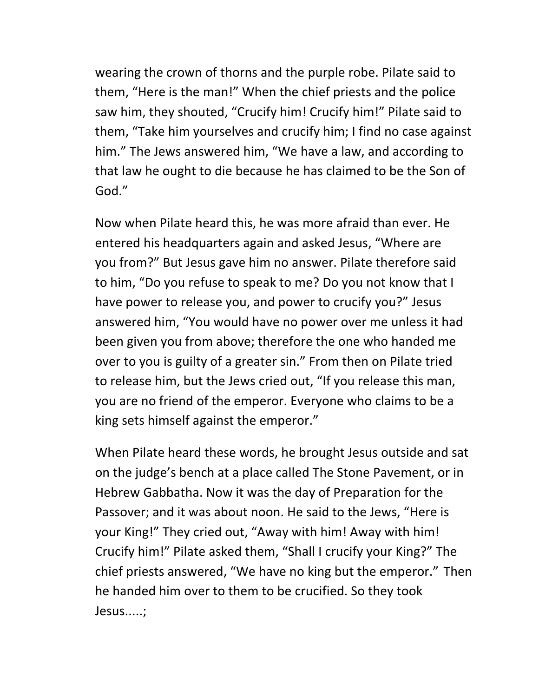wearing the crown of thorns and the purple robe. Pilate said to them, "Here is the man!" When the chief priests and the police saw him, they shouted, "Crucify him! Crucify him!" Pilate said to them, "Take him yourselves and crucify him; I find no case against him." The Jews answered him, "We have a law, and according to that law he ought to die because he has claimed to be the Son of God."

Now when Pilate heard this, he was more afraid than ever. He entered his headquarters again and asked Jesus, "Where are you from?" But Jesus gave him no answer. Pilate therefore said to him, "Do you refuse to speak to me? Do you not know that I have power to release you, and power to crucify you?" Jesus answered him, "You would have no power over me unless it had been given you from above; therefore the one who handed me over to you is guilty of a greater sin." From then on Pilate tried to release him, but the Jews cried out, "If you release this man, you are no friend of the emperor. Everyone who claims to be a king sets himself against the emperor."

When Pilate heard these words, he brought Jesus outside and sat on the judge's bench at a place called The Stone Pavement, or in Hebrew Gabbatha. Now it was the day of Preparation for the Passover; and it was about noon. He said to the Jews, "Here is your King!" They cried out, "Away with him! Away with him! Crucify him!" Pilate asked them, "Shall I crucify your King?" The chief priests answered, "We have no king but the emperor." Then he handed him over to them to be crucified. So they took Jesus.....;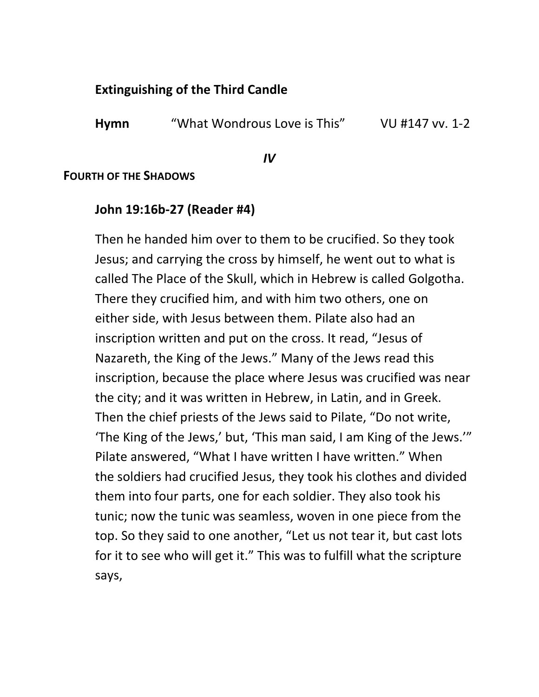## **Extinguishing of the Third Candle**

**Hymn** "What Wondrous Love is This" VU #147 vv. 1-2

#### *IV*

### **FOURTH OF THE SHADOWS**

## **John 19:16b-27 (Reader #4)**

Then he handed him over to them to be crucified. So they took Jesus; and carrying the cross by himself, he went out to what is called The Place of the Skull, which in Hebrew is called Golgotha. There they crucified him, and with him two others, one on either side, with Jesus between them. Pilate also had an inscription written and put on the cross. It read, "Jesus of Nazareth, the King of the Jews." Many of the Jews read this inscription, because the place where Jesus was crucified was near the city; and it was written in Hebrew, in Latin, and in Greek. Then the chief priests of the Jews said to Pilate, "Do not write, 'The King of the Jews,' but, 'This man said, I am King of the Jews.'" Pilate answered, "What I have written I have written." When the soldiers had crucified Jesus, they took his clothes and divided them into four parts, one for each soldier. They also took his tunic; now the tunic was seamless, woven in one piece from the top. So they said to one another, "Let us not tear it, but cast lots for it to see who will get it." This was to fulfill what the scripture says,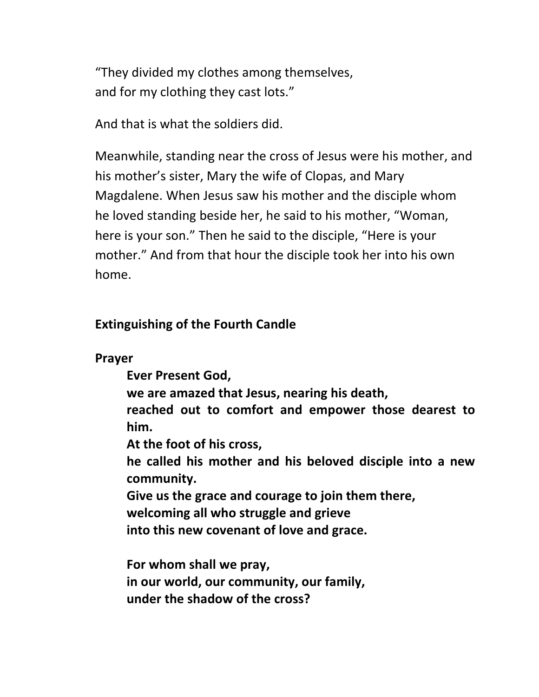"They divided my clothes among themselves, and for my clothing they cast lots."

And that is what the soldiers did.

 Meanwhile, standing near the cross of Jesus were his mother, and his mother's sister, Mary the wife of Clopas, and Mary Magdalene. When Jesus saw his mother and the disciple whom he loved standing beside her, he said to his mother, "Woman, here is your son." Then he said to the disciple, "Here is your mother." And from that hour the disciple took her into his own home.

## **Extinguishing of the Fourth Candle**

**Prayer** 

 **Ever Present God,** 

**we are amazed that Jesus, nearing his death,** 

**reached out to comfort and empower those dearest to him.** 

**At the foot of his cross,** 

**he called his mother and his beloved disciple into a new community.** 

**Give us the grace and courage to join them there,** 

**welcoming all who struggle and grieve** 

**into this new covenant of love and grace.** 

**For whom shall we pray, in our world, our community, our family, under the shadow of the cross?**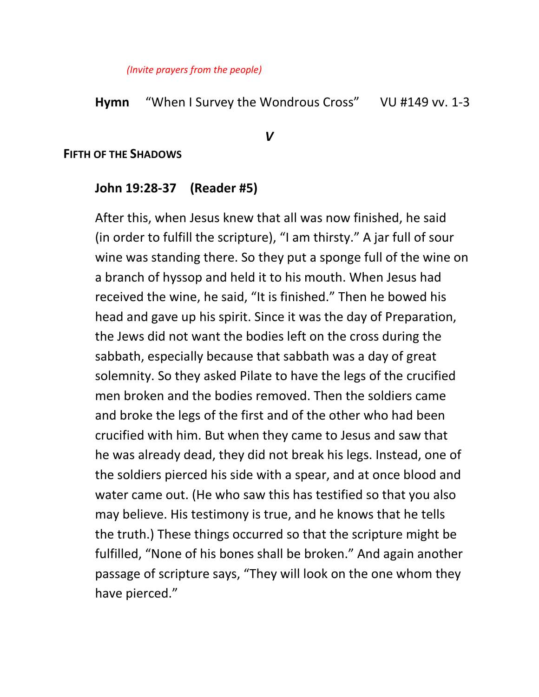*(Invite prayers from the people)* 

### **Hymn** "When I Survey the Wondrous Cross" VU #149 vv. 1-3

#### *V*

#### **FIFTH OF THE SHADOWS**

### **John 19:28-37 (Reader #5)**

After this, when Jesus knew that all was now finished, he said (in order to fulfill the scripture), "I am thirsty." A jar full of sour wine was standing there. So they put a sponge full of the wine on a branch of hyssop and held it to his mouth. When Jesus had received the wine, he said, "It is finished." Then he bowed his head and gave up his spirit. Since it was the day of Preparation, the Jews did not want the bodies left on the cross during the sabbath, especially because that sabbath was a day of great solemnity. So they asked Pilate to have the legs of the crucified men broken and the bodies removed. Then the soldiers came and broke the legs of the first and of the other who had been crucified with him. But when they came to Jesus and saw that he was already dead, they did not break his legs. Instead, one of the soldiers pierced his side with a spear, and at once blood and water came out. (He who saw this has testified so that you also may believe. His testimony is true, and he knows that he tells the truth.) These things occurred so that the scripture might be fulfilled, "None of his bones shall be broken." And again another passage of scripture says, "They will look on the one whom they have pierced."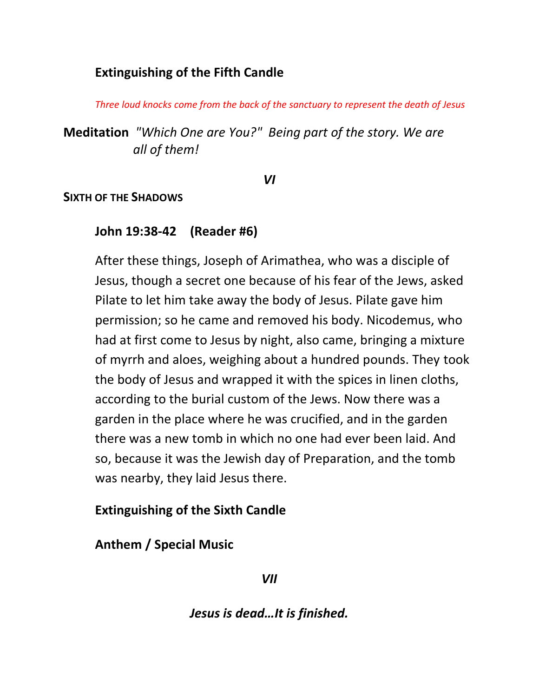# **Extinguishing of the Fifth Candle**

*Three loud knocks come from the back of the sanctuary to represent the death of Jesus* 

**Meditation** *"Which One are You?" Being part of the story. We are all of them!*

*VI* 

### **SIXTH OF THE SHADOWS**

### **John 19:38-42 (Reader #6)**

After these things, Joseph of Arimathea, who was a disciple of Jesus, though a secret one because of his fear of the Jews, asked Pilate to let him take away the body of Jesus. Pilate gave him permission; so he came and removed his body. Nicodemus, who had at first come to Jesus by night, also came, bringing a mixture of myrrh and aloes, weighing about a hundred pounds. They took the body of Jesus and wrapped it with the spices in linen cloths, according to the burial custom of the Jews. Now there was a garden in the place where he was crucified, and in the garden there was a new tomb in which no one had ever been laid. And so, because it was the Jewish day of Preparation, and the tomb was nearby, they laid Jesus there.

## **Extinguishing of the Sixth Candle**

**Anthem / Special Music** 

*VII* 

*Jesus is dead…It is finished.*